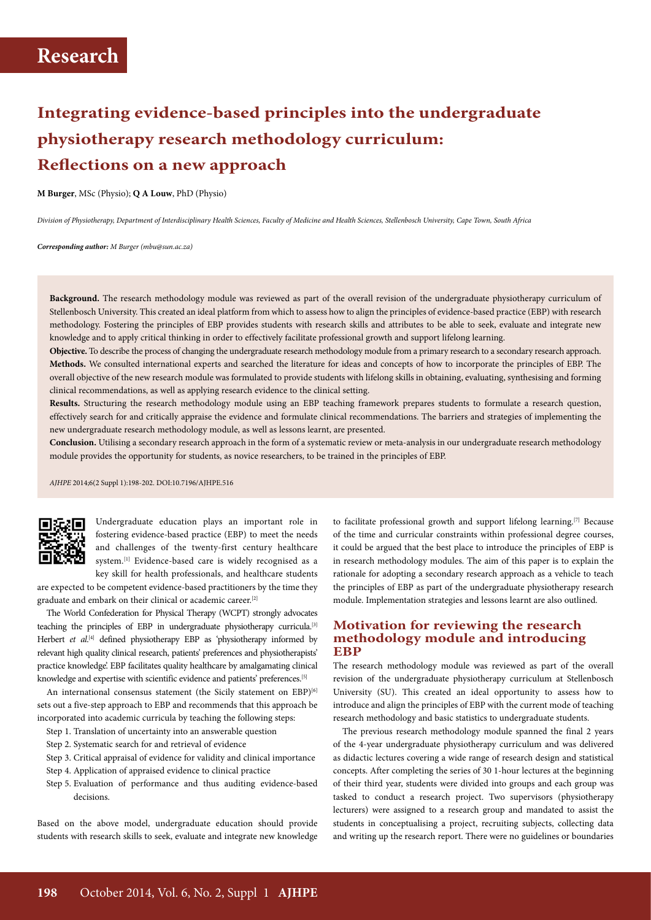# **Integrating evidence-based principles into the undergraduate physiotherapy research methodology curriculum: Reflections on a new approach**

**M Burger**, MSc (Physio); **Q A Louw**, PhD (Physio)

*Division of Physiotherapy, Department of Interdisciplinary Health Sciences, Faculty of Medicine and Health Sciences, Stellenbosch University, Cape Town, South Africa*

*Corresponding author: M Burger (mbu@sun.ac.za)*

**Background.** The research methodology module was reviewed as part of the overall revision of the undergraduate physiotherapy curriculum of Stellenbosch University. This created an ideal platform from which to assess how to align the principles of evidence-based practice (EBP) with research methodology. Fostering the principles of EBP provides students with research skills and attributes to be able to seek, evaluate and integrate new knowledge and to apply critical thinking in order to effectively facilitate professional growth and support lifelong learning.

**Objective.** To describe the process of changing the undergraduate research methodology module from a primary research to a secondary research approach. **Methods.** We consulted international experts and searched the literature for ideas and concepts of how to incorporate the principles of EBP. The overall objective of the new research module was formulated to provide students with lifelong skills in obtaining, evaluating, synthesising and forming clinical recommendations, as well as applying research evidence to the clinical setting.

**Results.** Structuring the research methodology module using an EBP teaching framework prepares students to formulate a research question, effectively search for and critically appraise the evidence and formulate clinical recommendations. The barriers and strategies of implementing the new undergraduate research methodology module, as well as lessons learnt, are presented.

**Conclusion.** Utilising a secondary research approach in the form of a systematic review or meta-analysis in our undergraduate research methodology module provides the opportunity for students, as novice researchers, to be trained in the principles of EBP.

*AJHPE* 2014;6(2 Suppl 1):198-202. DOI:10.7196/AJHPE.516



Undergraduate education plays an important role in fostering evidence-based practice (EBP) to meet the needs and challenges of the twenty-first century healthcare system.<sup>[1]</sup> Evidence-based care is widely recognised as a key skill for health professionals, and healthcare students

are expected to be competent evidence-based practitioners by the time they graduate and embark on their clinical or academic career.[2]

The World Confederation for Physical Therapy (WCPT) strongly advocates teaching the principles of EBP in undergraduate physiotherapy curricula.[3] Herbert *et al.*<sup>[4]</sup> defined physiotherapy EBP as 'physiotherapy informed by relevant high quality clinical research, patients' preferences and physiotherapists' practice knowledge'. EBP facilitates quality healthcare by amalgamating clinical knowledge and expertise with scientific evidence and patients' preferences.<sup>[5]</sup>

An international consensus statement (the Sicily statement on EBP)<sup>[6]</sup> sets out a five-step approach to EBP and recommends that this approach be incorporated into academic curricula by teaching the following steps:

- Step 1. Translation of uncertainty into an answerable question
- Step 2. Systematic search for and retrieval of evidence
- Step 3. Critical appraisal of evidence for validity and clinical importance
- Step 4. Application of appraised evidence to clinical practice
- Step 5. Evaluation of performance and thus auditing evidence-based decisions.

Based on the above model, undergraduate education should provide students with research skills to seek, evaluate and integrate new knowledge

to facilitate professional growth and support lifelong learning.<sup>[7]</sup> Because of the time and curricular constraints within professional degree courses, it could be argued that the best place to introduce the principles of EBP is in research methodology modules. The aim of this paper is to explain the rationale for adopting a secondary research approach as a vehicle to teach the principles of EBP as part of the undergraduate physiotherapy research module. Implementation strategies and lessons learnt are also outlined.

### **Motivation for reviewing the research methodology module and introducing EBP**

The research methodology module was reviewed as part of the overall revision of the undergraduate physiotherapy curriculum at Stellenbosch University (SU). This created an ideal opportunity to assess how to introduce and align the principles of EBP with the current mode of teaching research methodology and basic statistics to undergraduate students.

The previous research methodology module spanned the final 2 years of the 4-year undergraduate physiotherapy curriculum and was delivered as didactic lectures covering a wide range of research design and statistical concepts. After completing the series of 30 1-hour lectures at the beginning of their third year, students were divided into groups and each group was tasked to conduct a research project. Two supervisors (physiotherapy lecturers) were assigned to a research group and mandated to assist the students in conceptualising a project, recruiting subjects, collecting data and writing up the research report. There were no guidelines or boundaries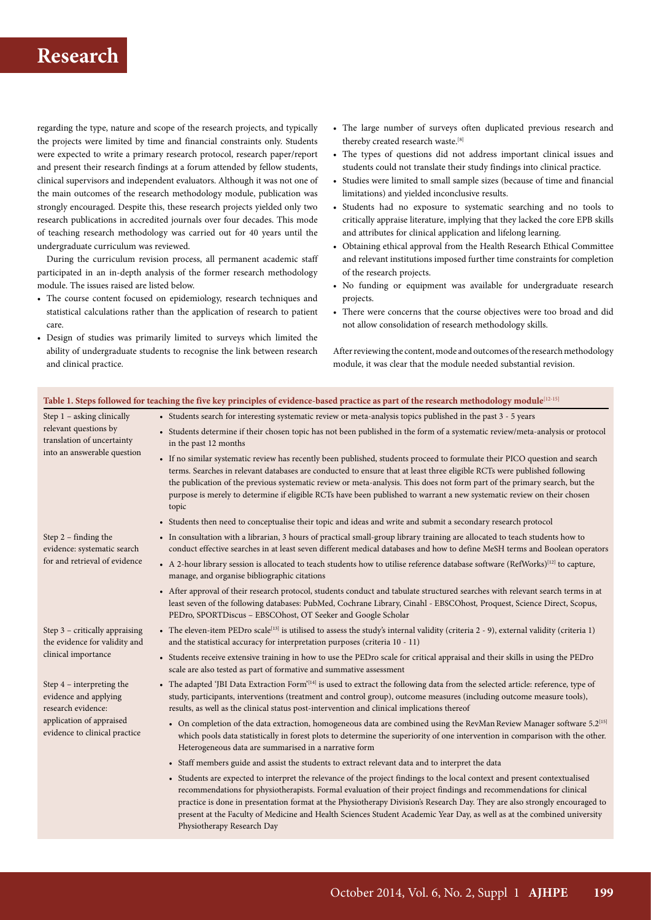# **Research**

regarding the type, nature and scope of the research projects, and typically the projects were limited by time and financial constraints only. Students were expected to write a primary research protocol, research paper/report and present their research findings at a forum attended by fellow students, clinical supervisors and independent evaluators. Although it was not one of the main outcomes of the research methodology module, publication was strongly encouraged. Despite this, these research projects yielded only two research publications in accredited journals over four decades. This mode of teaching research methodology was carried out for 40 years until the undergraduate curriculum was reviewed.

During the curriculum revision process, all permanent academic staff participated in an in-depth analysis of the former research methodology module. The issues raised are listed below.

- The course content focused on epidemiology, research techniques and statistical calculations rather than the application of research to patient care.
- Design of studies was primarily limited to surveys which limited the ability of undergraduate students to recognise the link between research and clinical practice.
- The large number of surveys often duplicated previous research and thereby created research waste.[8]
- The types of questions did not address important clinical issues and students could not translate their study findings into clinical practice.
- Studies were limited to small sample sizes (because of time and financial limitations) and yielded inconclusive results.
- Students had no exposure to systematic searching and no tools to critically appraise literature, implying that they lacked the core EPB skills and attributes for clinical application and lifelong learning.
- Obtaining ethical approval from the Health Research Ethical Committee and relevant institutions imposed further time constraints for completion of the research projects.
- No funding or equipment was available for undergraduate research projects.
- There were concerns that the course objectives were too broad and did not allow consolidation of research methodology skills.

After reviewing the content, mode and outcomes of the research methodology module, it was clear that the module needed substantial revision.

| Table 1. Steps followed for teaching the five key principles of evidence-based practice as part of the research methodology module <sup>[12-15]</sup> |                                                                                                                                                                                                                                                                                                                                                                                                                                                                                                                                         |
|-------------------------------------------------------------------------------------------------------------------------------------------------------|-----------------------------------------------------------------------------------------------------------------------------------------------------------------------------------------------------------------------------------------------------------------------------------------------------------------------------------------------------------------------------------------------------------------------------------------------------------------------------------------------------------------------------------------|
| Step 1 - asking clinically<br>relevant questions by<br>translation of uncertainty<br>into an answerable question                                      | • Students search for interesting systematic review or meta-analysis topics published in the past 3 - 5 years                                                                                                                                                                                                                                                                                                                                                                                                                           |
|                                                                                                                                                       | • Students determine if their chosen topic has not been published in the form of a systematic review/meta-analysis or protocol<br>in the past 12 months                                                                                                                                                                                                                                                                                                                                                                                 |
|                                                                                                                                                       | • If no similar systematic review has recently been published, students proceed to formulate their PICO question and search<br>terms. Searches in relevant databases are conducted to ensure that at least three eligible RCTs were published following<br>the publication of the previous systematic review or meta-analysis. This does not form part of the primary search, but the<br>purpose is merely to determine if eligible RCTs have been published to warrant a new systematic review on their chosen<br>topic                |
|                                                                                                                                                       | • Students then need to conceptualise their topic and ideas and write and submit a secondary research protocol                                                                                                                                                                                                                                                                                                                                                                                                                          |
| Step $2$ – finding the<br>evidence: systematic search<br>for and retrieval of evidence                                                                | • In consultation with a librarian, 3 hours of practical small-group library training are allocated to teach students how to<br>conduct effective searches in at least seven different medical databases and how to define MeSH terms and Boolean operators                                                                                                                                                                                                                                                                             |
|                                                                                                                                                       | • A 2-hour library session is allocated to teach students how to utilise reference database software (RefWorks) <sup>[12]</sup> to capture,<br>manage, and organise bibliographic citations                                                                                                                                                                                                                                                                                                                                             |
|                                                                                                                                                       | • After approval of their research protocol, students conduct and tabulate structured searches with relevant search terms in at<br>least seven of the following databases: PubMed, Cochrane Library, Cinahl - EBSCOhost, Proquest, Science Direct, Scopus,<br>PEDro, SPORTDiscus - EBSCOhost, OT Seeker and Google Scholar                                                                                                                                                                                                              |
| Step 3 - critically appraising<br>the evidence for validity and<br>clinical importance                                                                | • The eleven-item PEDro scale <sup>[13]</sup> is utilised to assess the study's internal validity (criteria 2 - 9), external validity (criteria 1)<br>and the statistical accuracy for interpretation purposes (criteria 10 - 11)                                                                                                                                                                                                                                                                                                       |
|                                                                                                                                                       | • Students receive extensive training in how to use the PEDro scale for critical appraisal and their skills in using the PEDro<br>scale are also tested as part of formative and summative assessment                                                                                                                                                                                                                                                                                                                                   |
| Step $4$ – interpreting the<br>evidence and applying<br>research evidence:<br>application of appraised<br>evidence to clinical practice               | • The adapted 'JBI Data Extraction Form' <sup>[14]</sup> is used to extract the following data from the selected article: reference, type of<br>study, participants, interventions (treatment and control group), outcome measures (including outcome measure tools),<br>results, as well as the clinical status post-intervention and clinical implications thereof                                                                                                                                                                    |
|                                                                                                                                                       | • On completion of the data extraction, homogeneous data are combined using the RevMan Review Manager software 5.2[15]<br>which pools data statistically in forest plots to determine the superiority of one intervention in comparison with the other.<br>Heterogeneous data are summarised in a narrative form                                                                                                                                                                                                                        |
|                                                                                                                                                       | • Staff members guide and assist the students to extract relevant data and to interpret the data                                                                                                                                                                                                                                                                                                                                                                                                                                        |
|                                                                                                                                                       | • Students are expected to interpret the relevance of the project findings to the local context and present contextualised<br>recommendations for physiotherapists. Formal evaluation of their project findings and recommendations for clinical<br>practice is done in presentation format at the Physiotherapy Division's Research Day. They are also strongly encouraged to<br>present at the Faculty of Medicine and Health Sciences Student Academic Year Day, as well as at the combined university<br>Physiotherapy Research Day |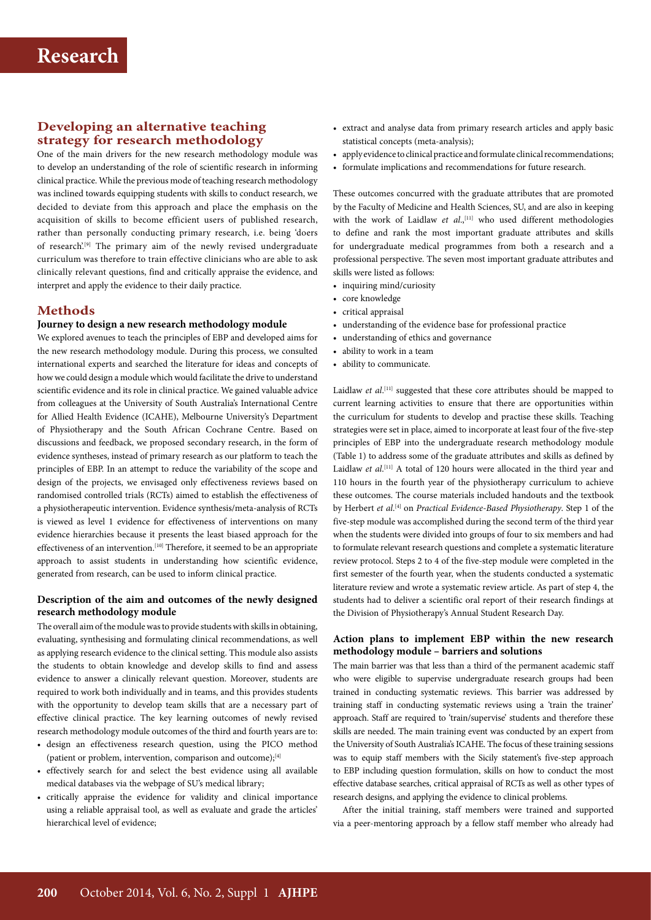## **Developing an alternative teaching strategy for research methodology**

One of the main drivers for the new research methodology module was to develop an understanding of the role of scientific research in informing clinical practice. While the previous mode of teaching research methodology was inclined towards equipping students with skills to conduct research, we decided to deviate from this approach and place the emphasis on the acquisition of skills to become efficient users of published research, rather than personally conducting primary research, i.e. being 'doers of research'.<sup>[9]</sup> The primary aim of the newly revised undergraduate curriculum was therefore to train effective clinicians who are able to ask clinically relevant questions, find and critically appraise the evidence, and interpret and apply the evidence to their daily practice.

## **Methods**

### **Journey to design a new research methodology module**

We explored avenues to teach the principles of EBP and developed aims for the new research methodology module. During this process, we consulted international experts and searched the literature for ideas and concepts of how we could design a module which would facilitate the drive to understand scientific evidence and its role in clinical practice. We gained valuable advice from colleagues at the University of South Australia's International Centre for Allied Health Evidence (ICAHE), Melbourne University's Department of Physiotherapy and the South African Cochrane Centre. Based on discussions and feedback, we proposed secondary research, in the form of evidence syntheses, instead of primary research as our platform to teach the principles of EBP. In an attempt to reduce the variability of the scope and design of the projects, we envisaged only effectiveness reviews based on randomised controlled trials (RCTs) aimed to establish the effectiveness of a physiotherapeutic intervention. Evidence synthesis/meta-analysis of RCTs is viewed as level 1 evidence for effectiveness of interventions on many evidence hierarchies because it presents the least biased approach for the effectiveness of an intervention.<sup>[10]</sup> Therefore, it seemed to be an appropriate approach to assist students in understanding how scientific evidence, generated from research, can be used to inform clinical practice.

### **Description of the aim and outcomes of the newly designed research methodology module**

The overall aim of the module was to provide students with skills in obtaining, evaluating, synthesising and formulating clinical recommendations, as well as applying research evidence to the clinical setting. This module also assists the students to obtain knowledge and develop skills to find and assess evidence to answer a clinically relevant question. Moreover, students are required to work both individually and in teams, and this provides students with the opportunity to develop team skills that are a necessary part of effective clinical practice. The key learning outcomes of newly revised research methodology module outcomes of the third and fourth years are to:

- design an effectiveness research question, using the PICO method (patient or problem, intervention, comparison and outcome);<sup>[4]</sup>
- effectively search for and select the best evidence using all available medical databases via the webpage of SU's medical library;
- critically appraise the evidence for validity and clinical importance using a reliable appraisal tool, as well as evaluate and grade the articles' hierarchical level of evidence;
- extract and analyse data from primary research articles and apply basic statistical concepts (meta-analysis);
- apply evidence to clinical practice and formulate clinical recommendations;
- formulate implications and recommendations for future research.

These outcomes concurred with the graduate attributes that are promoted by the Faculty of Medicine and Health Sciences, SU, and are also in keeping with the work of Laidlaw et al.,<sup>[11]</sup> who used different methodologies to define and rank the most important graduate attributes and skills for undergraduate medical programmes from both a research and a professional perspective. The seven most important graduate attributes and skills were listed as follows:

- inquiring mind/curiosity
- core knowledge
- critical appraisal
- understanding of the evidence base for professional practice
- understanding of ethics and governance
- ability to work in a team
- ability to communicate.

Laidlaw *et al.*<sup>[11]</sup> suggested that these core attributes should be mapped to current learning activities to ensure that there are opportunities within the curriculum for students to develop and practise these skills. Teaching strategies were set in place, aimed to incorporate at least four of the five-step principles of EBP into the undergraduate research methodology module (Table 1) to address some of the graduate attributes and skills as defined by Laidlaw *et al.*<sup>[11]</sup> A total of 120 hours were allocated in the third year and 110 hours in the fourth year of the physiotherapy curriculum to achieve these outcomes. The course materials included handouts and the textbook by Herbert *et al*. [4] on *Practical Evidence-Based Physiotherapy*. Step 1 of the five-step module was accomplished during the second term of the third year when the students were divided into groups of four to six members and had to formulate relevant research questions and complete a systematic literature review protocol. Steps 2 to 4 of the five-step module were completed in the first semester of the fourth year, when the students conducted a systematic literature review and wrote a systematic review article. As part of step 4, the students had to deliver a scientific oral report of their research findings at the Division of Physiotherapy's Annual Student Research Day.

## **Action plans to implement EBP within the new research methodology module – barriers and solutions**

The main barrier was that less than a third of the permanent academic staff who were eligible to supervise undergraduate research groups had been trained in conducting systematic reviews. This barrier was addressed by training staff in conducting systematic reviews using a 'train the trainer' approach. Staff are required to 'train/supervise' students and therefore these skills are needed. The main training event was conducted by an expert from the University of South Australia's ICAHE. The focus of these training sessions was to equip staff members with the Sicily statement's five-step approach to EBP including question formulation, skills on how to conduct the most effective database searches, critical appraisal of RCTs as well as other types of research designs, and applying the evidence to clinical problems.

After the initial training, staff members were trained and supported via a peer-mentoring approach by a fellow staff member who already had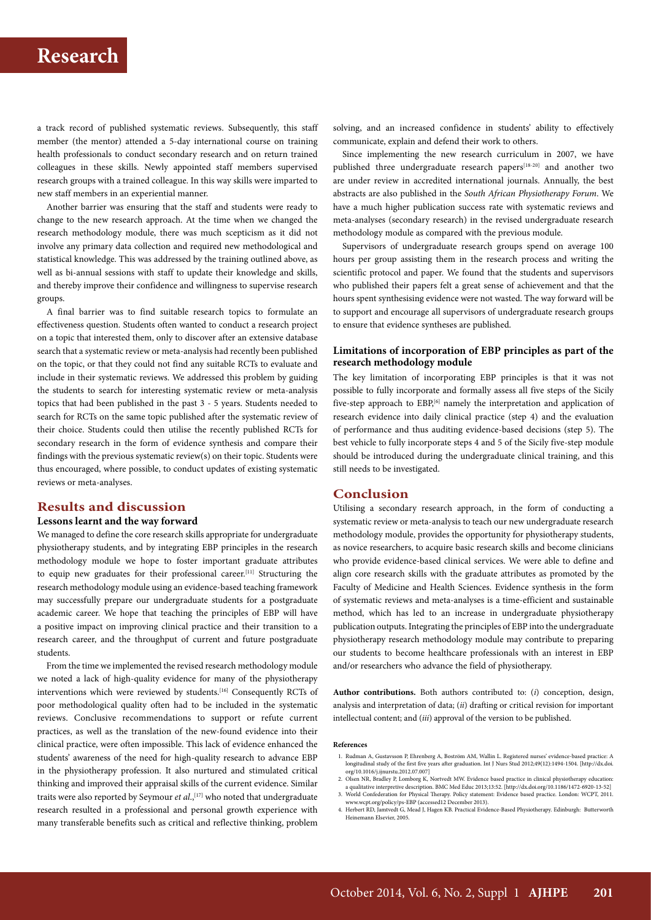## **Research**

a track record of published systematic reviews. Subsequently, this staff member (the mentor) attended a 5-day international course on training health professionals to conduct secondary research and on return trained colleagues in these skills. Newly appointed staff members supervised research groups with a trained colleague. In this way skills were imparted to new staff members in an experiential manner.

Another barrier was ensuring that the staff and students were ready to change to the new research approach. At the time when we changed the research methodology module, there was much scepticism as it did not involve any primary data collection and required new methodological and statistical knowledge. This was addressed by the training outlined above, as well as bi-annual sessions with staff to update their knowledge and skills, and thereby improve their confidence and willingness to supervise research groups.

A final barrier was to find suitable research topics to formulate an effectiveness question. Students often wanted to conduct a research project on a topic that interested them, only to discover after an extensive database search that a systematic review or meta-analysis had recently been published on the topic, or that they could not find any suitable RCTs to evaluate and include in their systematic reviews. We addressed this problem by guiding the students to search for interesting systematic review or meta-analysis topics that had been published in the past 3 - 5 years. Students needed to search for RCTs on the same topic published after the systematic review of their choice. Students could then utilise the recently published RCTs for secondary research in the form of evidence synthesis and compare their findings with the previous systematic review(s) on their topic. Students were thus encouraged, where possible, to conduct updates of existing systematic reviews or meta-analyses.

## **Results and discussion**

### **Lessons learnt and the way forward**

We managed to define the core research skills appropriate for undergraduate physiotherapy students, and by integrating EBP principles in the research methodology module we hope to foster important graduate attributes to equip new graduates for their professional career.[11] Structuring the research methodology module using an evidence-based teaching framework may successfully prepare our undergraduate students for a postgraduate academic career. We hope that teaching the principles of EBP will have a positive impact on improving clinical practice and their transition to a research career, and the throughput of current and future postgraduate students.

From the time we implemented the revised research methodology module we noted a lack of high-quality evidence for many of the physiotherapy interventions which were reviewed by students.<sup>[16]</sup> Consequently RCTs of poor methodological quality often had to be included in the systematic reviews. Conclusive recommendations to support or refute current practices, as well as the translation of the new-found evidence into their clinical practice, were often impossible. This lack of evidence enhanced the students' awareness of the need for high-quality research to advance EBP in the physiotherapy profession. It also nurtured and stimulated critical thinking and improved their appraisal skills of the current evidence. Similar traits were also reported by Seymour *et al.*,<sup>[17]</sup> who noted that undergraduate research resulted in a professional and personal growth experience with many transferable benefits such as critical and reflective thinking, problem

solving, and an increased confidence in students' ability to effectively communicate, explain and defend their work to others.

Since implementing the new research curriculum in 2007, we have published three undergraduate research papers[18-20] and another two are under review in accredited international journals. Annually, the best abstracts are also published in the *South African Physiotherapy Forum*. We have a much higher publication success rate with systematic reviews and meta-analyses (secondary research) in the revised undergraduate research methodology module as compared with the previous module.

Supervisors of undergraduate research groups spend on average 100 hours per group assisting them in the research process and writing the scientific protocol and paper. We found that the students and supervisors who published their papers felt a great sense of achievement and that the hours spent synthesising evidence were not wasted. The way forward will be to support and encourage all supervisors of undergraduate research groups to ensure that evidence syntheses are published.

### **Limitations of incorporation of EBP principles as part of the research methodology module**

The key limitation of incorporating EBP principles is that it was not possible to fully incorporate and formally assess all five steps of the Sicily five-step approach to EBP,<sup>[6]</sup> namely the interpretation and application of research evidence into daily clinical practice (step 4) and the evaluation of performance and thus auditing evidence-based decisions (step 5). The best vehicle to fully incorporate steps 4 and 5 of the Sicily five-step module should be introduced during the undergraduate clinical training, and this still needs to be investigated.

### **Conclusion**

Utilising a secondary research approach, in the form of conducting a systematic review or meta-analysis to teach our new undergraduate research methodology module, provides the opportunity for physiotherapy students, as novice researchers, to acquire basic research skills and become clinicians who provide evidence-based clinical services. We were able to define and align core research skills with the graduate attributes as promoted by the Faculty of Medicine and Health Sciences. Evidence synthesis in the form of systematic reviews and meta-analyses is a time-efficient and sustainable method, which has led to an increase in undergraduate physiotherapy publication outputs. Integrating the principles of EBP into the undergraduate physiotherapy research methodology module may contribute to preparing our students to become healthcare professionals with an interest in EBP and/or researchers who advance the field of physiotherapy.

**Author contributions.** Both authors contributed to: (*i*) conception, design, analysis and interpretation of data; (*ii*) drafting or critical revision for important intellectual content; and (*iii*) approval of the version to be published.

#### **References**

- 1. Rudman A, Gustavsson P, Ehrenberg A, Boström AM, Wallin L. Registered nurses' evidence-based practice: A longitudinal study of the first five years after graduation. Int J Nurs Stud 2012;49(12):1494-1504. [http://dx.doi. org/10.1016/j.ijnurstu.2012.07.007]
- 2. Olsen NR, Bradley P, Lomborg K, Nortvedt MW. Evidence based practice in clinical physiotherapy education: a qualitative interpretive description. BMC Med Educ 2013;13:52. [http://dx.doi.org/10.1186/1472-6920-13-52] 3. World Confederation for Physical Therapy. Policy statement: Evidence based practice. London: WCPT, 2011.
- 
- www.wcpt.org/policy/ps-EBP (accessed12 December 2013).<br>4. Herbert RD, Jamtvedt G, Mead J, Hagen KB. Practical Evidence-Based Physiotherapy. Edinburgh: Butterworth<br>Heinemann Elsevier, 2005.